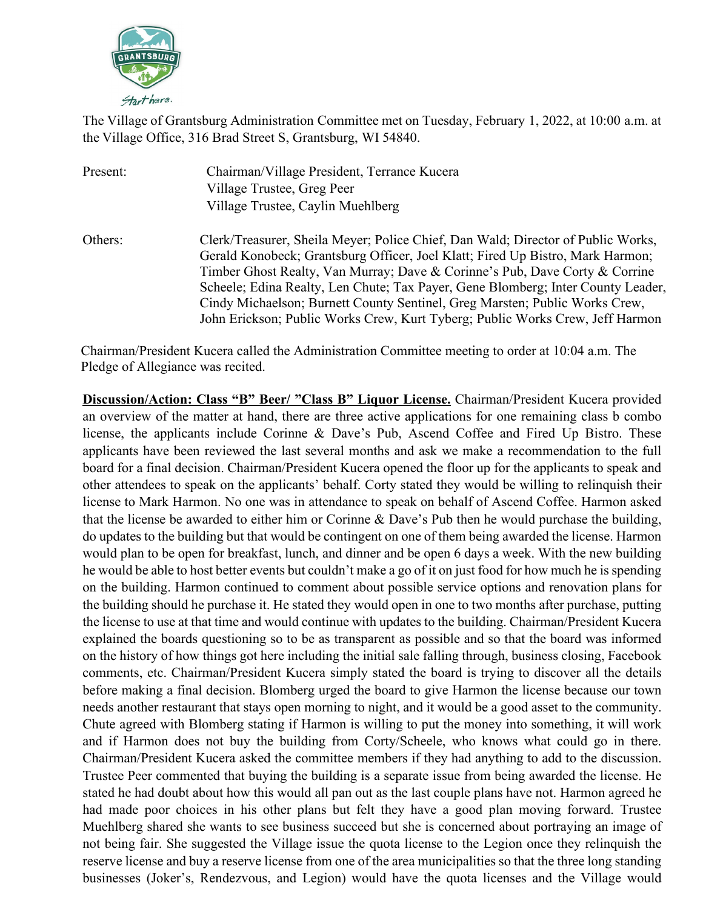

The Village of Grantsburg Administration Committee met on Tuesday, February 1, 2022, at 10:00 a.m. at the Village Office, 316 Brad Street S, Grantsburg, WI 54840.

| Present: | Chairman/Village President, Terrance Kucera<br>Village Trustee, Greg Peer<br>Village Trustee, Caylin Muehlberg                                                                                                                                                                                                                                                                                                                                                                                        |
|----------|-------------------------------------------------------------------------------------------------------------------------------------------------------------------------------------------------------------------------------------------------------------------------------------------------------------------------------------------------------------------------------------------------------------------------------------------------------------------------------------------------------|
| Others:  | Clerk/Treasurer, Sheila Meyer; Police Chief, Dan Wald; Director of Public Works,<br>Gerald Konobeck; Grantsburg Officer, Joel Klatt; Fired Up Bistro, Mark Harmon;<br>Timber Ghost Realty, Van Murray; Dave & Corinne's Pub, Dave Corty & Corrine<br>Scheele; Edina Realty, Len Chute; Tax Payer, Gene Blomberg; Inter County Leader,<br>Cindy Michaelson; Burnett County Sentinel, Greg Marsten; Public Works Crew,<br>John Erickson; Public Works Crew, Kurt Tyberg; Public Works Crew, Jeff Harmon |

Chairman/President Kucera called the Administration Committee meeting to order at 10:04 a.m. The Pledge of Allegiance was recited.

**Discussion/Action: Class "B" Beer/ "Class B" Liquor License.** Chairman/President Kucera provided an overview of the matter at hand, there are three active applications for one remaining class b combo license, the applicants include Corinne & Dave's Pub, Ascend Coffee and Fired Up Bistro. These applicants have been reviewed the last several months and ask we make a recommendation to the full board for a final decision. Chairman/President Kucera opened the floor up for the applicants to speak and other attendees to speak on the applicants' behalf. Corty stated they would be willing to relinquish their license to Mark Harmon. No one was in attendance to speak on behalf of Ascend Coffee. Harmon asked that the license be awarded to either him or Corinne & Dave's Pub then he would purchase the building, do updates to the building but that would be contingent on one of them being awarded the license. Harmon would plan to be open for breakfast, lunch, and dinner and be open 6 days a week. With the new building he would be able to host better events but couldn't make a go of it on just food for how much he is spending on the building. Harmon continued to comment about possible service options and renovation plans for the building should he purchase it. He stated they would open in one to two months after purchase, putting the license to use at that time and would continue with updates to the building. Chairman/President Kucera explained the boards questioning so to be as transparent as possible and so that the board was informed on the history of how things got here including the initial sale falling through, business closing, Facebook comments, etc. Chairman/President Kucera simply stated the board is trying to discover all the details before making a final decision. Blomberg urged the board to give Harmon the license because our town needs another restaurant that stays open morning to night, and it would be a good asset to the community. Chute agreed with Blomberg stating if Harmon is willing to put the money into something, it will work and if Harmon does not buy the building from Corty/Scheele, who knows what could go in there. Chairman/President Kucera asked the committee members if they had anything to add to the discussion. Trustee Peer commented that buying the building is a separate issue from being awarded the license. He stated he had doubt about how this would all pan out as the last couple plans have not. Harmon agreed he had made poor choices in his other plans but felt they have a good plan moving forward. Trustee Muehlberg shared she wants to see business succeed but she is concerned about portraying an image of not being fair. She suggested the Village issue the quota license to the Legion once they relinquish the reserve license and buy a reserve license from one of the area municipalities so that the three long standing businesses (Joker's, Rendezvous, and Legion) would have the quota licenses and the Village would